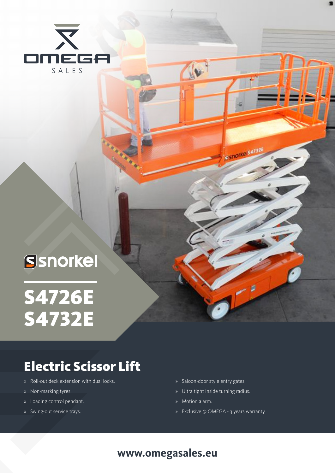

# Ssnorkel

# S4726E S4732E

## Electric Scissor Lift

- » Roll-out deck extension with dual locks.
- » Non-marking tyres.
- » Loading control pendant.
- » Swing-out service trays.
- » Saloon-door style entry gates.
- » Ultra tight inside turning radius.
- » Motion alarm.

 $\mathbf{w}$ 

SSNOTKe S4732E

» Exclusive @ OMEGA - 3 years warranty.

### **www.omegasales.eu**